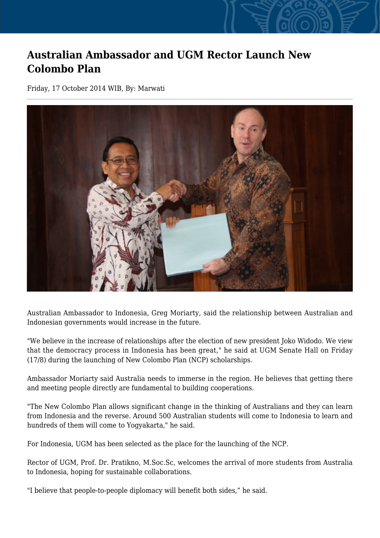## **Australian Ambassador and UGM Rector Launch New Colombo Plan**

Friday, 17 October 2014 WIB, By: Marwati



Australian Ambassador to Indonesia, Greg Moriarty, said the relationship between Australian and Indonesian governments would increase in the future.

"We believe in the increase of relationships after the election of new president Joko Widodo. We view that the democracy process in Indonesia has been great," he said at UGM Senate Hall on Friday (17/8) during the launching of New Colombo Plan (NCP) scholarships.

Ambassador Moriarty said Australia needs to immerse in the region. He believes that getting there and meeting people directly are fundamental to building cooperations.

"The New Colombo Plan allows significant change in the thinking of Australians and they can learn from Indonesia and the reverse. Around 500 Australian students will come to Indonesia to learn and hundreds of them will come to Yogyakarta," he said.

For Indonesia, UGM has been selected as the place for the launching of the NCP.

Rector of UGM, Prof. Dr. Pratikno, M.Soc.Sc, welcomes the arrival of more students from Australia to Indonesia, hoping for sustainable collaborations.

"I believe that people-to-people diplomacy will benefit both sides," he said.